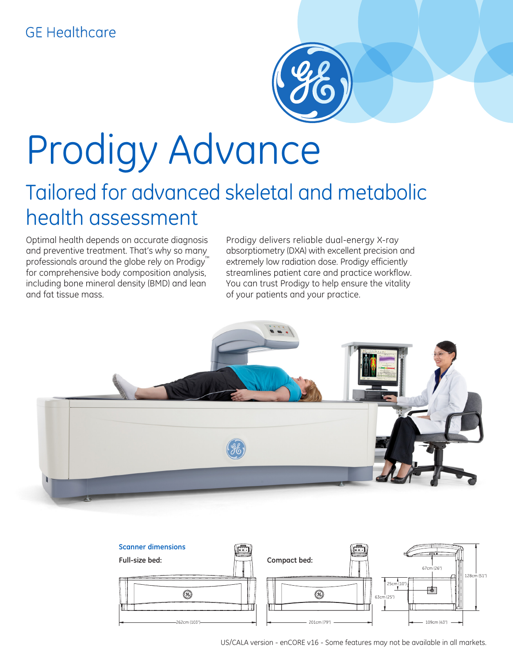## **GE Healthcare**



# Prodigy Advance

# Tailored for advanced skeletal and metabolic health assessment

Optimal health depends on accurate diagnosis and preventive treatment. That's why so many professionals around the globe rely on Prodigy<sup>™</sup> for comprehensive body composition analysis, including bone mineral density (BMD) and lean and fat tissue mass.

Prodigy delivers reliable dual-energy X-ray absorptiometry (DXA) with excellent precision and extremely low radiation dose. Prodigy efficiently streamlines patient care and practice workflow. You can trust Prodigy to help ensure the vitality of your patients and your practice.





US/CALA version - enCORE v16 - Some features may not be available in all markets.